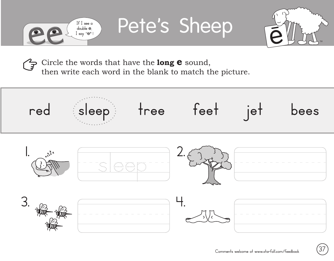

Pete's Sheep



Circle the words that have the **long e** sound, then write each word in the blank to match the picture.

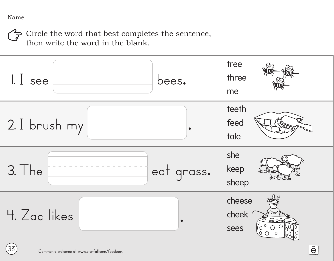Circle the word that best completes the sentence, then write the word in the blank.

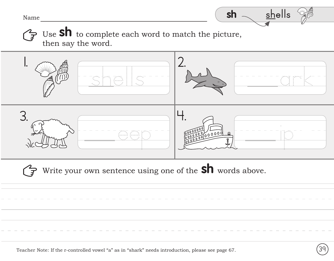Name



Use **Sh** to complete each word to match the picture, then say the word.



Write your own sentence using one of the **Sh** words above.

Teacher Note: If the r-controlled vowel "a" as in "shark" needs introduction, please see page 67. **Canada Career**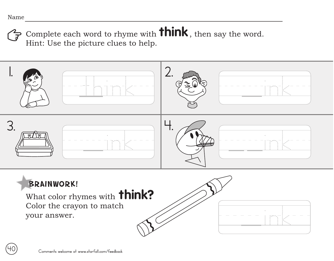**40**

Complete each word to rhyme with **think**, then say the word. Hint: Use the picture clues to help.



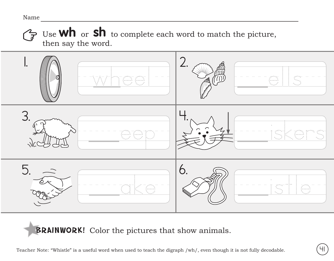## Name

Use **wh** or **sh** to complete each word to match the picture, then say the word.



BRAINWORK! Color the pictures that show animals.